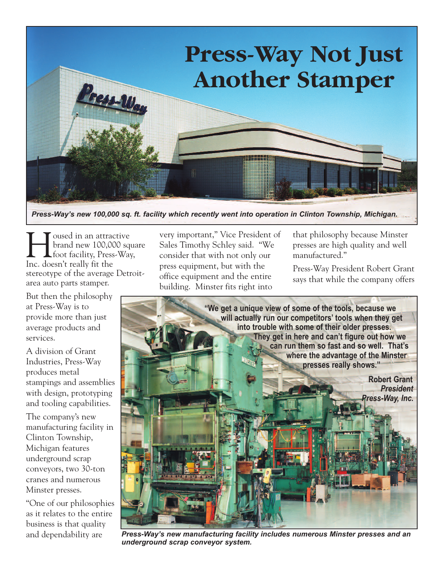

*Press-Way's new 100,000 sq. ft. facility which recently went into operation in Clinton Township, Michigan.*

I Sussed in an attractive<br>Department of the Manus Sussed Strategy<br>Reserved Strategy Press-Wa brand new 100,000 square foot facility, Press-Way, Inc. doesn't really fit the stereotype of the average Detroitarea auto parts stamper.

But then the philosophy at Press-Way is to provide more than just average products and services.

A division of Grant Industries, Press-Way produces metal stampings and assemblies with design, prototyping and tooling capabilities.

The company's new manufacturing facility in Clinton Township, Michigan features underground scrap conveyors, two 30-ton cranes and numerous Minster presses.

"One of our philosophies as it relates to the entire business is that quality and dependability are

very important," Vice President of Sales Timothy Schley said. "We consider that with not only our press equipment, but with the office equipment and the entire building. Minster fits right into

that philosophy because Minster presses are high quality and well manufactured."

Press-Way President Robert Grant says that while the company offers



*Press-Way's new manufacturing facility includes numerous Minster presses and an underground scrap conveyor system.*